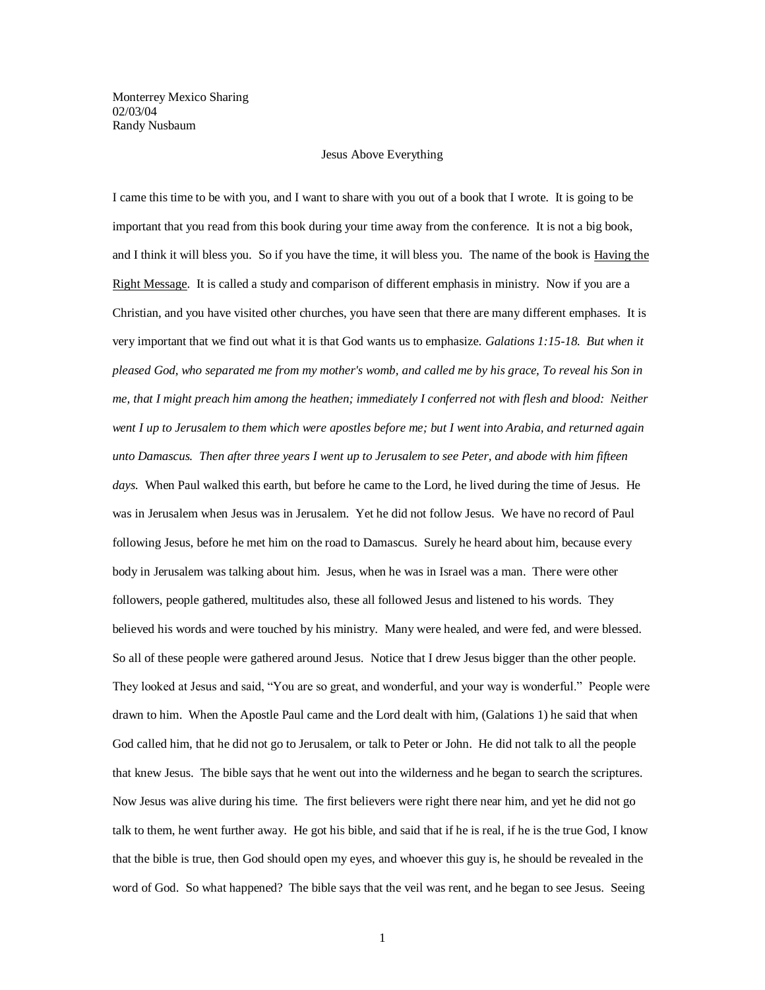Monterrey Mexico Sharing 02/03/04 Randy Nusbaum

## Jesus Above Everything

I came this time to be with you, and I want to share with you out of a book that I wrote. It is going to be important that you read from this book during your time away from the conference. It is not a big book, and I think it will bless you. So if you have the time, it will bless you. The name of the book is Having the Right Message. It is called a study and comparison of different emphasis in ministry. Now if you are a Christian, and you have visited other churches, you have seen that there are many different emphases. It is very important that we find out what it is that God wants us to emphasize*. Galations 1:15-18. But when it pleased God, who separated me from my mother's womb, and called me by his grace, To reveal his Son in me, that I might preach him among the heathen; immediately I conferred not with flesh and blood: Neither went I up to Jerusalem to them which were apostles before me; but I went into Arabia, and returned again unto Damascus. Then after three years I went up to Jerusalem to see Peter, and abode with him fifteen days.* When Paul walked this earth, but before he came to the Lord, he lived during the time of Jesus. He was in Jerusalem when Jesus was in Jerusalem. Yet he did not follow Jesus. We have no record of Paul following Jesus, before he met him on the road to Damascus. Surely he heard about him, because every body in Jerusalem was talking about him. Jesus, when he was in Israel was a man. There were other followers, people gathered, multitudes also, these all followed Jesus and listened to his words. They believed his words and were touched by his ministry. Many were healed, and were fed, and were blessed. So all of these people were gathered around Jesus. Notice that I drew Jesus bigger than the other people. They looked at Jesus and said, "You are so great, and wonderful, and your way is wonderful." People were drawn to him. When the Apostle Paul came and the Lord dealt with him, (Galations 1) he said that when God called him, that he did not go to Jerusalem, or talk to Peter or John. He did not talk to all the people that knew Jesus. The bible says that he went out into the wilderness and he began to search the scriptures. Now Jesus was alive during his time. The first believers were right there near him, and yet he did not go talk to them, he went further away. He got his bible, and said that if he is real, if he is the true God, I know that the bible is true, then God should open my eyes, and whoever this guy is, he should be revealed in the word of God. So what happened? The bible says that the veil was rent, and he began to see Jesus. Seeing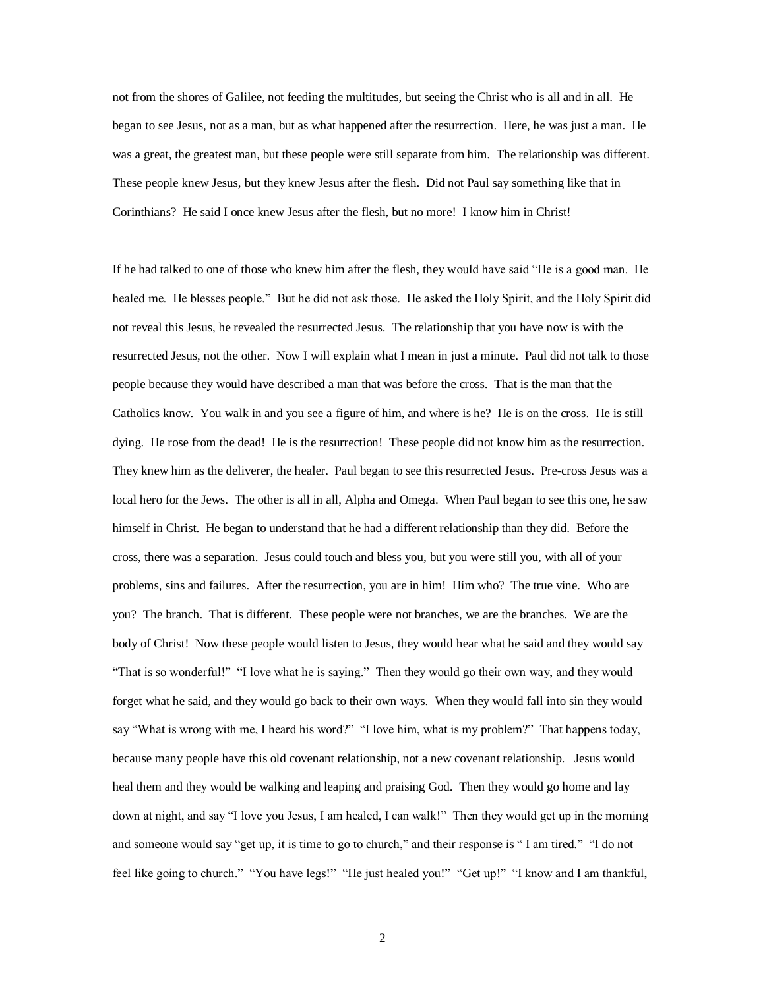not from the shores of Galilee, not feeding the multitudes, but seeing the Christ who is all and in all. He began to see Jesus, not as a man, but as what happened after the resurrection. Here, he was just a man. He was a great, the greatest man, but these people were still separate from him. The relationship was different. These people knew Jesus, but they knew Jesus after the flesh. Did not Paul say something like that in Corinthians? He said I once knew Jesus after the flesh, but no more! I know him in Christ!

If he had talked to one of those who knew him after the flesh, they would have said "He is a good man. He healed me. He blesses people." But he did not ask those. He asked the Holy Spirit, and the Holy Spirit did not reveal this Jesus, he revealed the resurrected Jesus. The relationship that you have now is with the resurrected Jesus, not the other. Now I will explain what I mean in just a minute. Paul did not talk to those people because they would have described a man that was before the cross. That is the man that the Catholics know. You walk in and you see a figure of him, and where is he? He is on the cross. He is still dying. He rose from the dead! He is the resurrection! These people did not know him as the resurrection. They knew him as the deliverer, the healer. Paul began to see this resurrected Jesus. Pre-cross Jesus was a local hero for the Jews. The other is all in all, Alpha and Omega. When Paul began to see this one, he saw himself in Christ. He began to understand that he had a different relationship than they did. Before the cross, there was a separation. Jesus could touch and bless you, but you were still you, with all of your problems, sins and failures. After the resurrection, you are in him! Him who? The true vine. Who are you? The branch. That is different. These people were not branches, we are the branches. We are the body of Christ! Now these people would listen to Jesus, they would hear what he said and they would say "That is so wonderful!" "I love what he is saying." Then they would go their own way, and they would forget what he said, and they would go back to their own ways. When they would fall into sin they would say "What is wrong with me, I heard his word?" "I love him, what is my problem?" That happens today, because many people have this old covenant relationship, not a new covenant relationship. Jesus would heal them and they would be walking and leaping and praising God. Then they would go home and lay down at night, and say "I love you Jesus, I am healed, I can walk!" Then they would get up in the morning and someone would say "get up, it is time to go to church," and their response is " I am tired." "I do not feel like going to church." "You have legs!" "He just healed you!" "Get up!" "I know and I am thankful,

2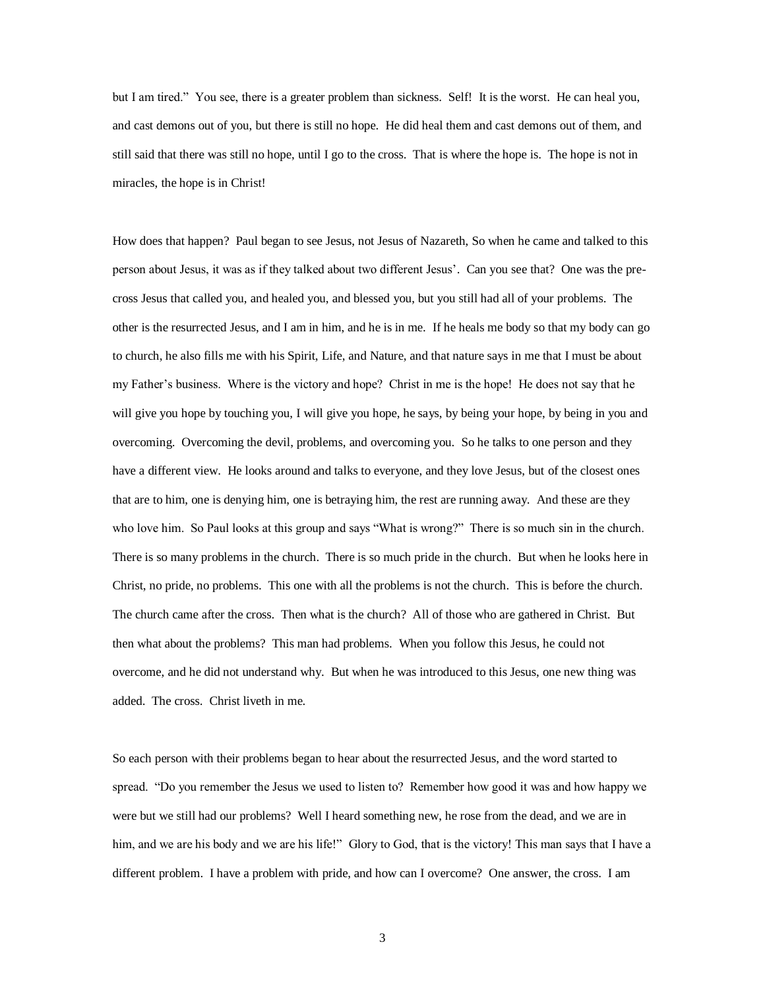but I am tired." You see, there is a greater problem than sickness. Self! It is the worst. He can heal you, and cast demons out of you, but there is still no hope. He did heal them and cast demons out of them, and still said that there was still no hope, until I go to the cross. That is where the hope is. The hope is not in miracles, the hope is in Christ!

How does that happen? Paul began to see Jesus, not Jesus of Nazareth, So when he came and talked to this person about Jesus, it was as if they talked about two different Jesus'. Can you see that? One was the precross Jesus that called you, and healed you, and blessed you, but you still had all of your problems. The other is the resurrected Jesus, and I am in him, and he is in me. If he heals me body so that my body can go to church, he also fills me with his Spirit, Life, and Nature, and that nature says in me that I must be about my Father's business. Where is the victory and hope? Christ in me is the hope! He does not say that he will give you hope by touching you, I will give you hope, he says, by being your hope, by being in you and overcoming. Overcoming the devil, problems, and overcoming you. So he talks to one person and they have a different view. He looks around and talks to everyone, and they love Jesus, but of the closest ones that are to him, one is denying him, one is betraying him, the rest are running away. And these are they who love him. So Paul looks at this group and says "What is wrong?" There is so much sin in the church. There is so many problems in the church. There is so much pride in the church. But when he looks here in Christ, no pride, no problems. This one with all the problems is not the church. This is before the church. The church came after the cross. Then what is the church? All of those who are gathered in Christ. But then what about the problems? This man had problems. When you follow this Jesus, he could not overcome, and he did not understand why. But when he was introduced to this Jesus, one new thing was added. The cross. Christ liveth in me.

So each person with their problems began to hear about the resurrected Jesus, and the word started to spread. "Do you remember the Jesus we used to listen to? Remember how good it was and how happy we were but we still had our problems? Well I heard something new, he rose from the dead, and we are in him, and we are his body and we are his life!" Glory to God, that is the victory! This man says that I have a different problem. I have a problem with pride, and how can I overcome? One answer, the cross. I am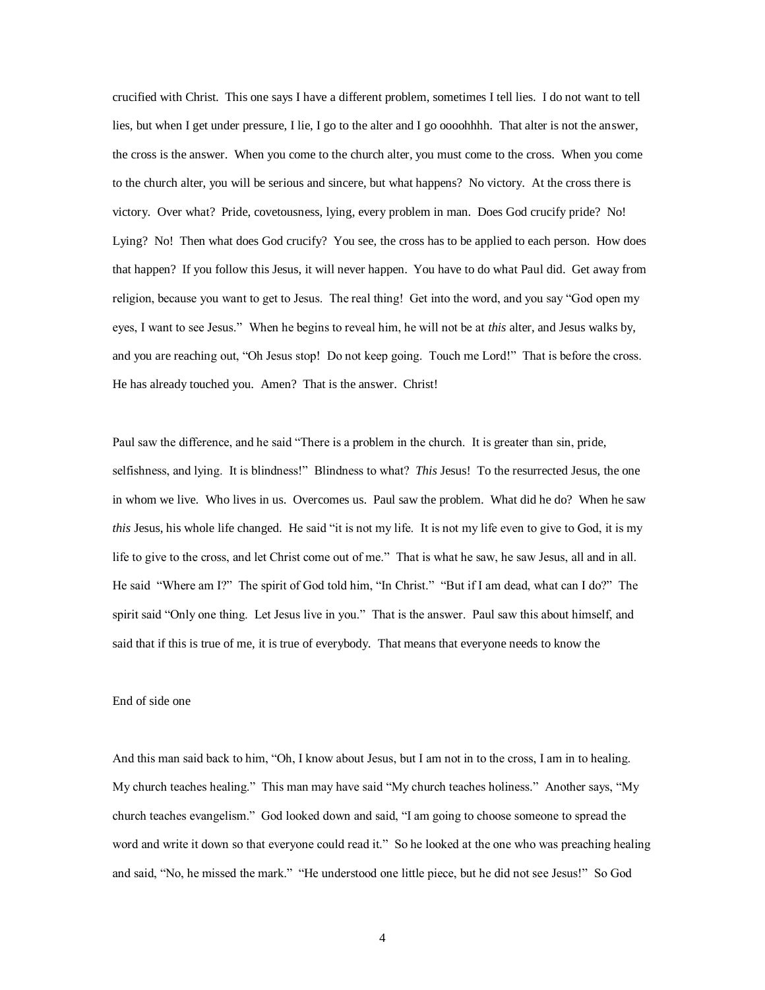crucified with Christ. This one says I have a different problem, sometimes I tell lies. I do not want to tell lies, but when I get under pressure, I lie, I go to the alter and I go oooohhhh. That alter is not the answer, the cross is the answer. When you come to the church alter, you must come to the cross. When you come to the church alter, you will be serious and sincere, but what happens? No victory. At the cross there is victory. Over what? Pride, covetousness, lying, every problem in man. Does God crucify pride? No! Lying? No! Then what does God crucify? You see, the cross has to be applied to each person. How does that happen? If you follow this Jesus, it will never happen. You have to do what Paul did. Get away from religion, because you want to get to Jesus. The real thing! Get into the word, and you say "God open my eyes, I want to see Jesus." When he begins to reveal him, he will not be at *this* alter, and Jesus walks by, and you are reaching out, "Oh Jesus stop! Do not keep going. Touch me Lord!" That is before the cross. He has already touched you. Amen? That is the answer. Christ!

Paul saw the difference, and he said "There is a problem in the church. It is greater than sin, pride, selfishness, and lying. It is blindness!" Blindness to what? *This* Jesus! To the resurrected Jesus, the one in whom we live. Who lives in us. Overcomes us. Paul saw the problem. What did he do? When he saw *this* Jesus, his whole life changed. He said "it is not my life. It is not my life even to give to God, it is my life to give to the cross, and let Christ come out of me." That is what he saw, he saw Jesus, all and in all. He said "Where am I?" The spirit of God told him, "In Christ." "But if I am dead, what can I do?" The spirit said "Only one thing. Let Jesus live in you." That is the answer. Paul saw this about himself, and said that if this is true of me, it is true of everybody. That means that everyone needs to know the

## End of side one

And this man said back to him, "Oh, I know about Jesus, but I am not in to the cross, I am in to healing. My church teaches healing." This man may have said "My church teaches holiness." Another says, "My church teaches evangelism." God looked down and said, "I am going to choose someone to spread the word and write it down so that everyone could read it." So he looked at the one who was preaching healing and said, "No, he missed the mark." "He understood one little piece, but he did not see Jesus!" So God

4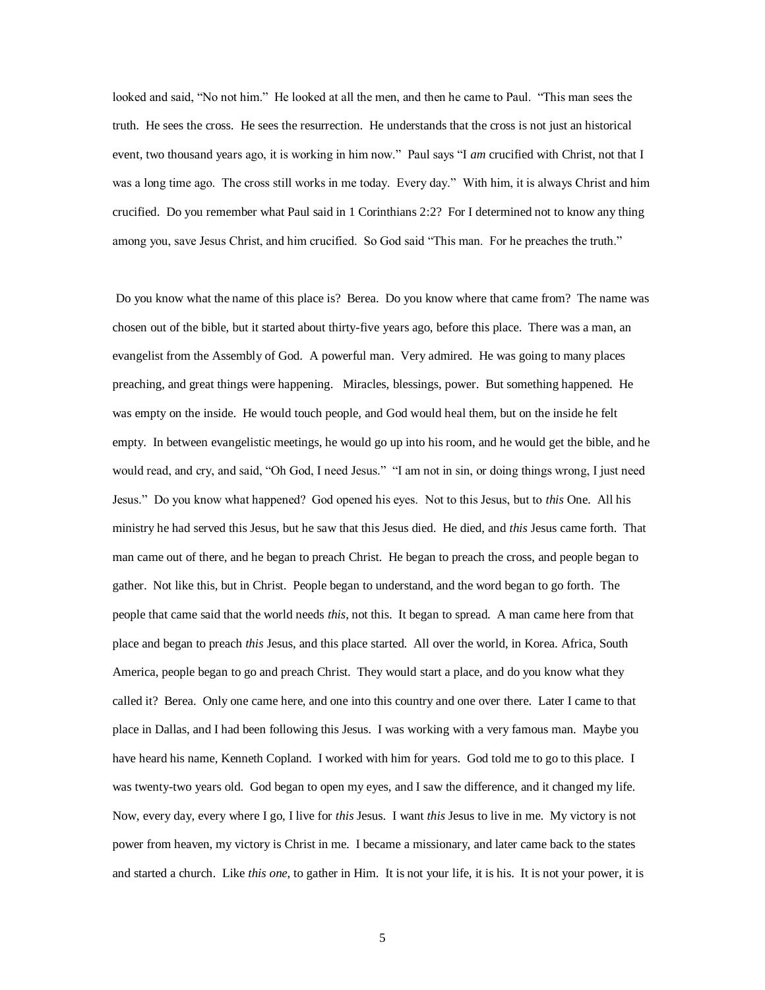looked and said, "No not him." He looked at all the men, and then he came to Paul. "This man sees the truth. He sees the cross. He sees the resurrection. He understands that the cross is not just an historical event, two thousand years ago, it is working in him now." Paul says "I *am* crucified with Christ, not that I was a long time ago. The cross still works in me today. Every day." With him, it is always Christ and him crucified. Do you remember what Paul said in 1 Corinthians 2:2? For I determined not to know any thing among you, save Jesus Christ, and him crucified. So God said "This man. For he preaches the truth."

Do you know what the name of this place is? Berea. Do you know where that came from? The name was chosen out of the bible, but it started about thirty-five years ago, before this place. There was a man, an evangelist from the Assembly of God. A powerful man. Very admired. He was going to many places preaching, and great things were happening. Miracles, blessings, power. But something happened. He was empty on the inside. He would touch people, and God would heal them, but on the inside he felt empty. In between evangelistic meetings, he would go up into his room, and he would get the bible, and he would read, and cry, and said, "Oh God, I need Jesus." "I am not in sin, or doing things wrong, I just need Jesus." Do you know what happened? God opened his eyes. Not to this Jesus, but to *this* One. All his ministry he had served this Jesus, but he saw that this Jesus died. He died, and *this* Jesus came forth. That man came out of there, and he began to preach Christ. He began to preach the cross, and people began to gather. Not like this, but in Christ. People began to understand, and the word began to go forth. The people that came said that the world needs *this,* not this. It began to spread. A man came here from that place and began to preach *this* Jesus, and this place started. All over the world, in Korea. Africa, South America, people began to go and preach Christ. They would start a place, and do you know what they called it? Berea. Only one came here, and one into this country and one over there. Later I came to that place in Dallas, and I had been following this Jesus. I was working with a very famous man. Maybe you have heard his name, Kenneth Copland. I worked with him for years. God told me to go to this place. I was twenty-two years old. God began to open my eyes, and I saw the difference, and it changed my life. Now, every day, every where I go, I live for *this* Jesus. I want *this* Jesus to live in me. My victory is not power from heaven, my victory is Christ in me. I became a missionary, and later came back to the states and started a church. Like *this one*, to gather in Him. It is not your life, it is his. It is not your power, it is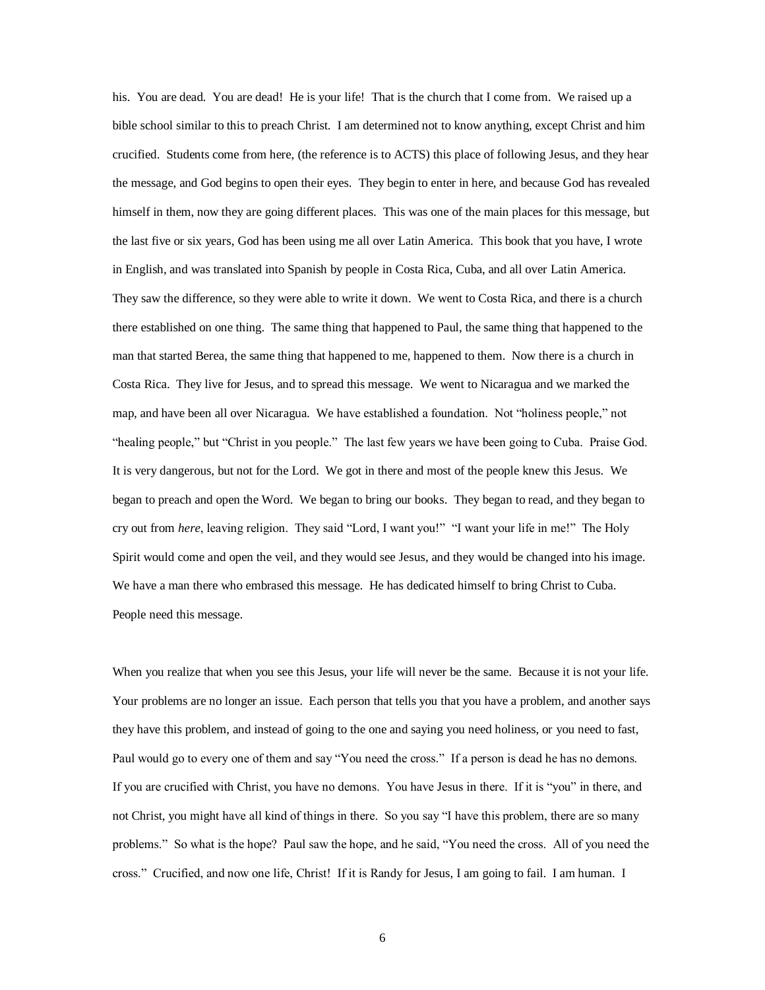his. You are dead. You are dead! He is your life! That is the church that I come from. We raised up a bible school similar to this to preach Christ. I am determined not to know anything, except Christ and him crucified. Students come from here, (the reference is to ACTS) this place of following Jesus, and they hear the message, and God begins to open their eyes. They begin to enter in here, and because God has revealed himself in them, now they are going different places. This was one of the main places for this message, but the last five or six years, God has been using me all over Latin America. This book that you have, I wrote in English, and was translated into Spanish by people in Costa Rica, Cuba, and all over Latin America. They saw the difference, so they were able to write it down. We went to Costa Rica, and there is a church there established on one thing. The same thing that happened to Paul, the same thing that happened to the man that started Berea, the same thing that happened to me, happened to them. Now there is a church in Costa Rica. They live for Jesus, and to spread this message. We went to Nicaragua and we marked the map, and have been all over Nicaragua. We have established a foundation. Not "holiness people," not "healing people," but "Christ in you people." The last few years we have been going to Cuba. Praise God. It is very dangerous, but not for the Lord. We got in there and most of the people knew this Jesus. We began to preach and open the Word. We began to bring our books. They began to read, and they began to cry out from *here*, leaving religion. They said "Lord, I want you!" "I want your life in me!" The Holy Spirit would come and open the veil, and they would see Jesus, and they would be changed into his image. We have a man there who embrased this message. He has dedicated himself to bring Christ to Cuba. People need this message.

When you realize that when you see this Jesus, your life will never be the same. Because it is not your life. Your problems are no longer an issue. Each person that tells you that you have a problem, and another says they have this problem, and instead of going to the one and saying you need holiness, or you need to fast, Paul would go to every one of them and say "You need the cross." If a person is dead he has no demons. If you are crucified with Christ, you have no demons. You have Jesus in there. If it is "you" in there, and not Christ, you might have all kind of things in there. So you say "I have this problem, there are so many problems." So what is the hope? Paul saw the hope, and he said, "You need the cross. All of you need the cross." Crucified, and now one life, Christ! If it is Randy for Jesus, I am going to fail. I am human. I

6